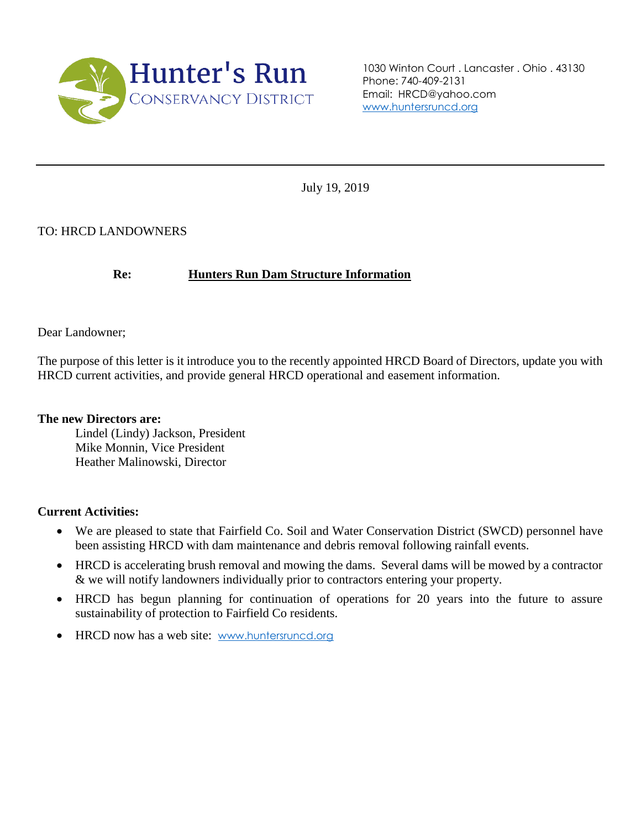

1030 Winton Court . Lancaster . Ohio . 43130 Phone: 740-409-2131 Email: HRCD@yahoo.com [www.huntersruncd.org](http://www.huntersruncd.org/)

July 19, 2019

# TO: HRCD LANDOWNERS

### **Re: Hunters Run Dam Structure Information**

Dear Landowner;

The purpose of this letter is it introduce you to the recently appointed HRCD Board of Directors, update you with HRCD current activities, and provide general HRCD operational and easement information.

#### **The new Directors are:**

Lindel (Lindy) Jackson, President Mike Monnin, Vice President Heather Malinowski, Director

#### **Current Activities:**

- We are pleased to state that Fairfield Co. Soil and Water Conservation District (SWCD) personnel have been assisting HRCD with dam maintenance and debris removal following rainfall events.
- HRCD is accelerating brush removal and mowing the dams. Several dams will be mowed by a contractor & we will notify landowners individually prior to contractors entering your property.
- HRCD has begun planning for continuation of operations for 20 years into the future to assure sustainability of protection to Fairfield Co residents.
- HRCD now has a web site: [www.huntersruncd.org](http://www.huntersruncd.org/)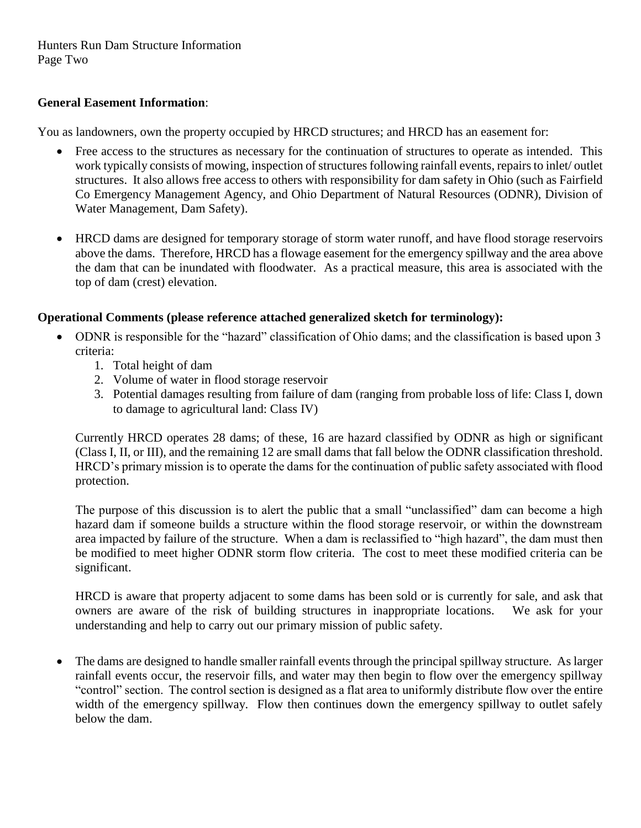# **General Easement Information**:

You as landowners, own the property occupied by HRCD structures; and HRCD has an easement for:

- Free access to the structures as necessary for the continuation of structures to operate as intended. This work typically consists of mowing, inspection of structures following rainfall events, repairs to inlet/ outlet structures. It also allows free access to others with responsibility for dam safety in Ohio (such as Fairfield Co Emergency Management Agency, and Ohio Department of Natural Resources (ODNR), Division of Water Management, Dam Safety).
- HRCD dams are designed for temporary storage of storm water runoff, and have flood storage reservoirs above the dams. Therefore, HRCD has a flowage easement for the emergency spillway and the area above the dam that can be inundated with floodwater. As a practical measure, this area is associated with the top of dam (crest) elevation.

### **Operational Comments (please reference attached generalized sketch for terminology):**

- ODNR is responsible for the "hazard" classification of Ohio dams; and the classification is based upon 3 criteria:
	- 1. Total height of dam
	- 2. Volume of water in flood storage reservoir
	- 3. Potential damages resulting from failure of dam (ranging from probable loss of life: Class I, down to damage to agricultural land: Class IV)

Currently HRCD operates 28 dams; of these, 16 are hazard classified by ODNR as high or significant (Class I, II, or III), and the remaining 12 are small dams that fall below the ODNR classification threshold. HRCD's primary mission is to operate the dams for the continuation of public safety associated with flood protection.

The purpose of this discussion is to alert the public that a small "unclassified" dam can become a high hazard dam if someone builds a structure within the flood storage reservoir, or within the downstream area impacted by failure of the structure. When a dam is reclassified to "high hazard", the dam must then be modified to meet higher ODNR storm flow criteria. The cost to meet these modified criteria can be significant.

HRCD is aware that property adjacent to some dams has been sold or is currently for sale, and ask that owners are aware of the risk of building structures in inappropriate locations. We ask for your understanding and help to carry out our primary mission of public safety.

• The dams are designed to handle smaller rainfall events through the principal spillway structure. As larger rainfall events occur, the reservoir fills, and water may then begin to flow over the emergency spillway "control" section. The control section is designed as a flat area to uniformly distribute flow over the entire width of the emergency spillway. Flow then continues down the emergency spillway to outlet safely below the dam.